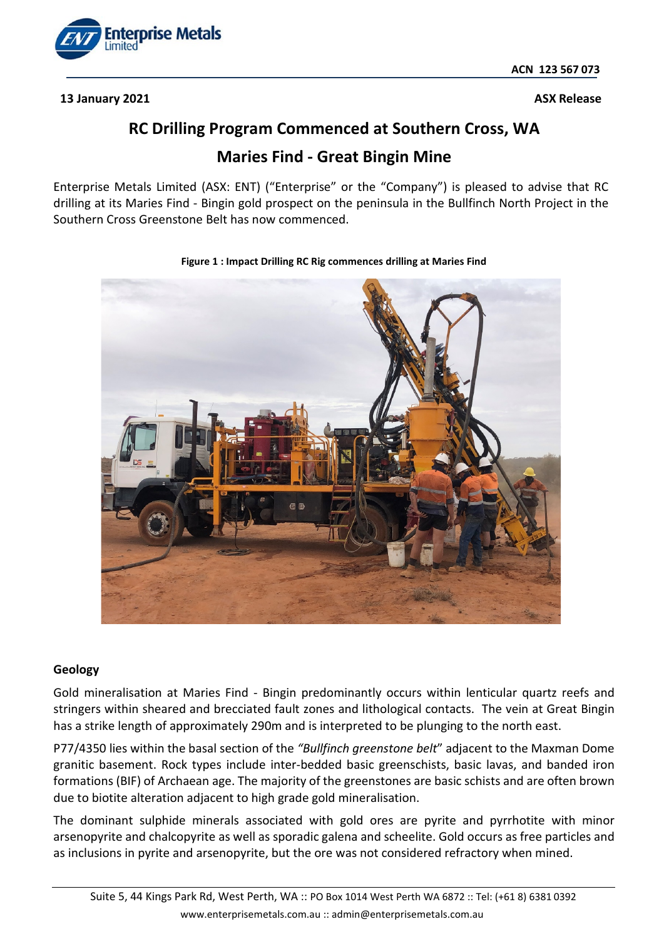

**13 January 2021 ASX** Release

# **RC Drilling Program Commenced at Southern Cross, WA**

## **Maries Find - Great Bingin Mine**

Enterprise Metals Limited (ASX: ENT) ("Enterprise" or the "Company") is pleased to advise that RC drilling at its Maries Find - Bingin gold prospect on the peninsula in the Bullfinch North Project in the Southern Cross Greenstone Belt has now commenced.



### **Figure 1 : Impact Drilling RC Rig commences drilling at Maries Find**

### **Geology**

Gold mineralisation at Maries Find - Bingin predominantly occurs within lenticular quartz reefs and stringers within sheared and brecciated fault zones and lithological contacts. The vein at Great Bingin has a strike length of approximately 290m and is interpreted to be plunging to the north east.

P77/4350 lies within the basal section of the *"Bullfinch greenstone belt*" adjacent to the Maxman Dome granitic basement. Rock types include inter-bedded basic greenschists, basic lavas, and banded iron formations (BIF) of Archaean age. The majority of the greenstones are basic schists and are often brown due to biotite alteration adjacent to high grade gold mineralisation.

The dominant sulphide minerals associated with gold ores are pyrite and pyrrhotite with minor arsenopyrite and chalcopyrite as well as sporadic galena and scheelite. Gold occurs as free particles and as inclusions in pyrite and arsenopyrite, but the ore was not considered refractory when mined.